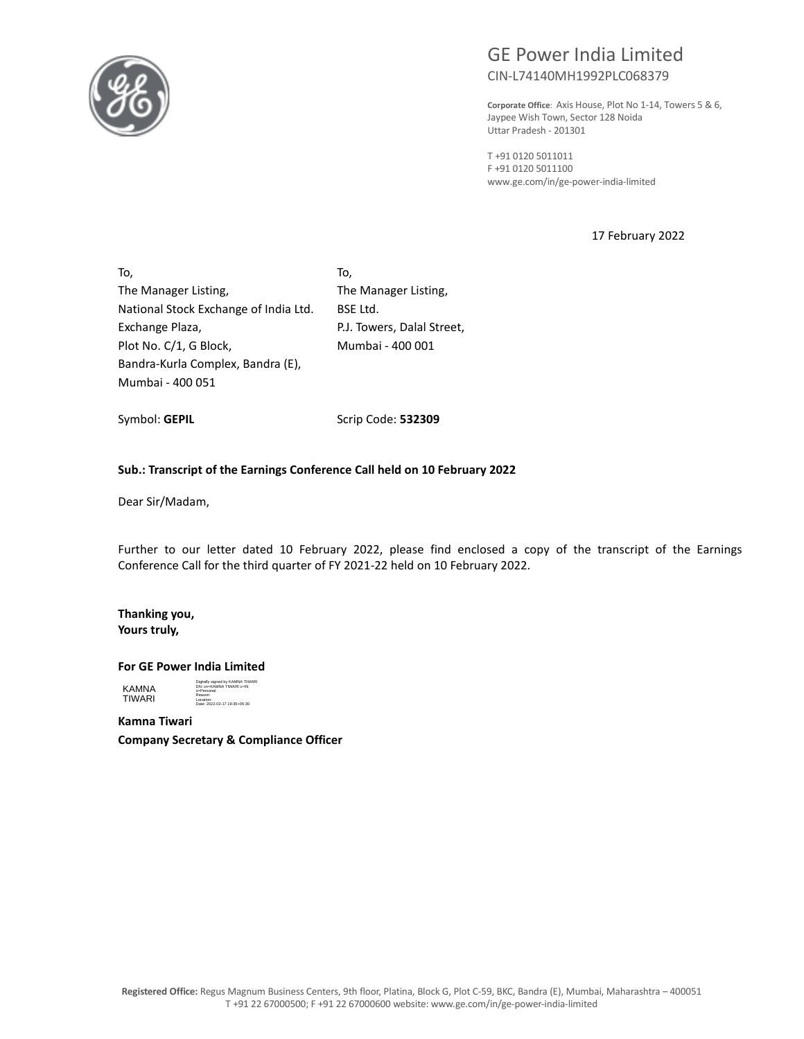

# GE Power India Limited CIN-L74140MH1992PLC068379

**Corporate Office**: Axis House, Plot No 1-14, Towers 5 & 6, Jaypee Wish Town, Sector 128 Noida Uttar Pradesh - 201301

T +91 0120 5011011 F +91 0120 5011100 www.ge.com/in/ge-power-india-limited

17 February 2022

To, The Manager Listing, National Stock Exchange of India Ltd. Exchange Plaza, Plot No. C/1, G Block, Bandra-Kurla Complex, Bandra (E), Mumbai - 400 051

To, The Manager Listing, BSE Ltd. P.J. Towers, Dalal Street, Mumbai - 400 001

Symbol: **GEPIL** 

Scrip Code: **532309**

#### **Sub.: Transcript of the Earnings Conference Call held on 10 February 2022**

Dear Sir/Madam,

Further to our letter dated 10 February 2022, please find enclosed a copy of the transcript of the Earnings Conference Call for the third quarter of FY 2021-22 held on 10 February 2022.

**Thanking you, Yours truly,** 

#### **For GE Power India Limited**

KAMNA TIWARI Digitally signed by KAMNA TIWARI DN: cn=KAMNA TIWARI c=IN o=Personal Reason: Location: Date: 2022-02-17 19:35+05:30

**Kamna Tiwari Company Secretary & Compliance Officer**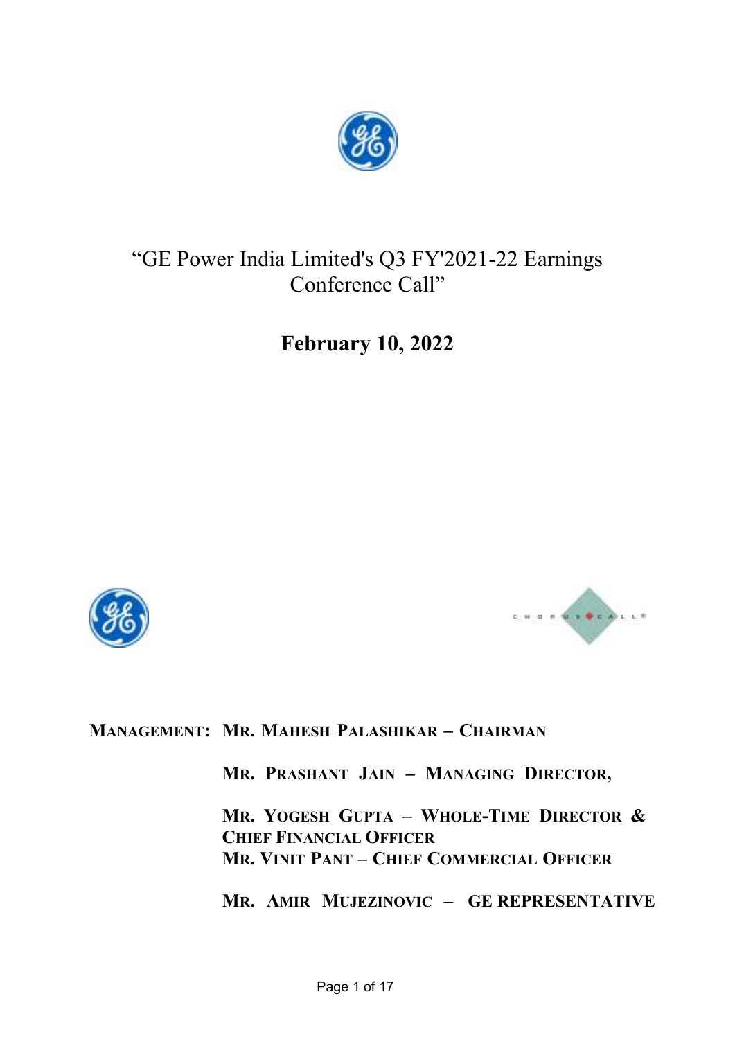

# "GE Power India Limited's Q3 FY'2021-22 Earnings Conference Call"

**February 10, 2022** 





**MANAGEMENT: MR. MAHESH PALASHIKAR – CHAIRMAN**

**MR. PRASHANT JAIN – MANAGING DIRECTOR,** 

**MR. YOGESH GUPTA – WHOLE-TIME DIRECTOR & CHIEF FINANCIAL OFFICER MR. VINIT PANT – CHIEF COMMERCIAL OFFICER** 

**MR. AMIR MUJEZINOVIC – GE REPRESENTATIVE**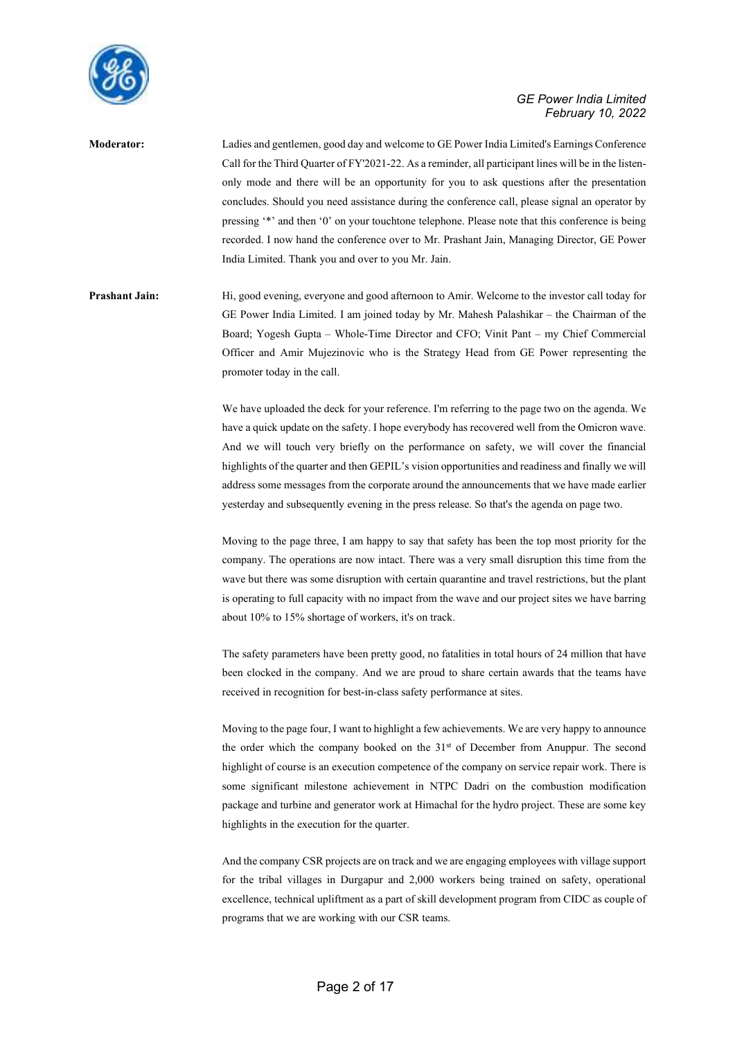

**Moderator:** Ladies and gentlemen, good day and welcome to GE Power India Limited's Earnings Conference Call for the Third Quarter of FY'2021-22. As a reminder, all participant lines will be in the listenonly mode and there will be an opportunity for you to ask questions after the presentation concludes. Should you need assistance during the conference call, please signal an operator by pressing '\*' and then '0' on your touchtone telephone. Please note that this conference is being recorded. I now hand the conference over to Mr. Prashant Jain, Managing Director, GE Power India Limited. Thank you and over to you Mr. Jain.

Prashant Jain: Hi, good evening, everyone and good afternoon to Amir. Welcome to the investor call today for GE Power India Limited. I am joined today by Mr. Mahesh Palashikar – the Chairman of the Board; Yogesh Gupta – Whole-Time Director and CFO; Vinit Pant – my Chief Commercial Officer and Amir Mujezinovic who is the Strategy Head from GE Power representing the promoter today in the call.

> We have uploaded the deck for your reference. I'm referring to the page two on the agenda. We have a quick update on the safety. I hope everybody has recovered well from the Omicron wave. And we will touch very briefly on the performance on safety, we will cover the financial highlights of the quarter and then GEPIL's vision opportunities and readiness and finally we will address some messages from the corporate around the announcements that we have made earlier yesterday and subsequently evening in the press release. So that's the agenda on page two.

> Moving to the page three, I am happy to say that safety has been the top most priority for the company. The operations are now intact. There was a very small disruption this time from the wave but there was some disruption with certain quarantine and travel restrictions, but the plant is operating to full capacity with no impact from the wave and our project sites we have barring about 10% to 15% shortage of workers, it's on track.

> The safety parameters have been pretty good, no fatalities in total hours of 24 million that have been clocked in the company. And we are proud to share certain awards that the teams have received in recognition for best-in-class safety performance at sites.

> Moving to the page four, I want to highlight a few achievements. We are very happy to announce the order which the company booked on the 31st of December from Anuppur. The second highlight of course is an execution competence of the company on service repair work. There is some significant milestone achievement in NTPC Dadri on the combustion modification package and turbine and generator work at Himachal for the hydro project. These are some key highlights in the execution for the quarter.

> And the company CSR projects are on track and we are engaging employees with village support for the tribal villages in Durgapur and 2,000 workers being trained on safety, operational excellence, technical upliftment as a part of skill development program from CIDC as couple of programs that we are working with our CSR teams.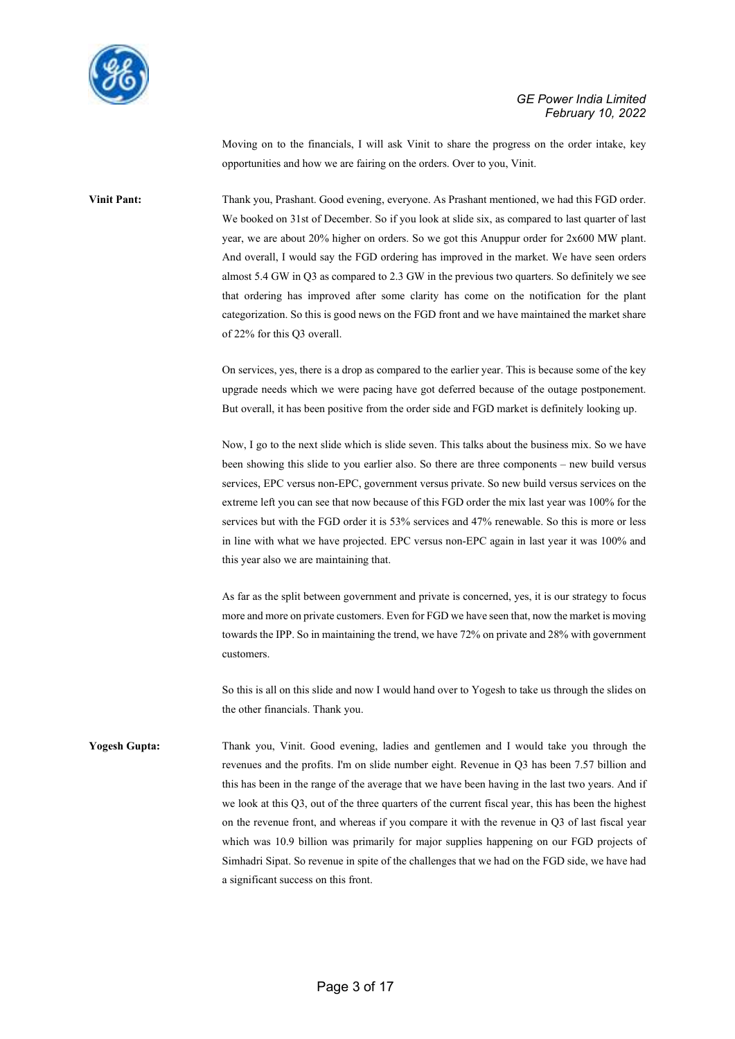

Moving on to the financials, I will ask Vinit to share the progress on the order intake, key opportunities and how we are fairing on the orders. Over to you, Vinit.

Vinit Pant: Thank you, Prashant. Good evening, everyone. As Prashant mentioned, we had this FGD order. We booked on 31st of December. So if you look at slide six, as compared to last quarter of last year, we are about 20% higher on orders. So we got this Anuppur order for 2x600 MW plant. And overall, I would say the FGD ordering has improved in the market. We have seen orders almost 5.4 GW in Q3 as compared to 2.3 GW in the previous two quarters. So definitely we see that ordering has improved after some clarity has come on the notification for the plant categorization. So this is good news on the FGD front and we have maintained the market share of 22% for this Q3 overall.

> On services, yes, there is a drop as compared to the earlier year. This is because some of the key upgrade needs which we were pacing have got deferred because of the outage postponement. But overall, it has been positive from the order side and FGD market is definitely looking up.

> Now, I go to the next slide which is slide seven. This talks about the business mix. So we have been showing this slide to you earlier also. So there are three components – new build versus services, EPC versus non-EPC, government versus private. So new build versus services on the extreme left you can see that now because of this FGD order the mix last year was 100% for the services but with the FGD order it is 53% services and 47% renewable. So this is more or less in line with what we have projected. EPC versus non-EPC again in last year it was 100% and this year also we are maintaining that.

> As far as the split between government and private is concerned, yes, it is our strategy to focus more and more on private customers. Even for FGD we have seen that, now the market is moving towards the IPP. So in maintaining the trend, we have 72% on private and 28% with government customers.

> So this is all on this slide and now I would hand over to Yogesh to take us through the slides on the other financials. Thank you.

**Yogesh Gupta:** Thank you, Vinit. Good evening, ladies and gentlemen and I would take you through the revenues and the profits. I'm on slide number eight. Revenue in Q3 has been 7.57 billion and this has been in the range of the average that we have been having in the last two years. And if we look at this Q3, out of the three quarters of the current fiscal year, this has been the highest on the revenue front, and whereas if you compare it with the revenue in Q3 of last fiscal year which was 10.9 billion was primarily for major supplies happening on our FGD projects of Simhadri Sipat. So revenue in spite of the challenges that we had on the FGD side, we have had a significant success on this front.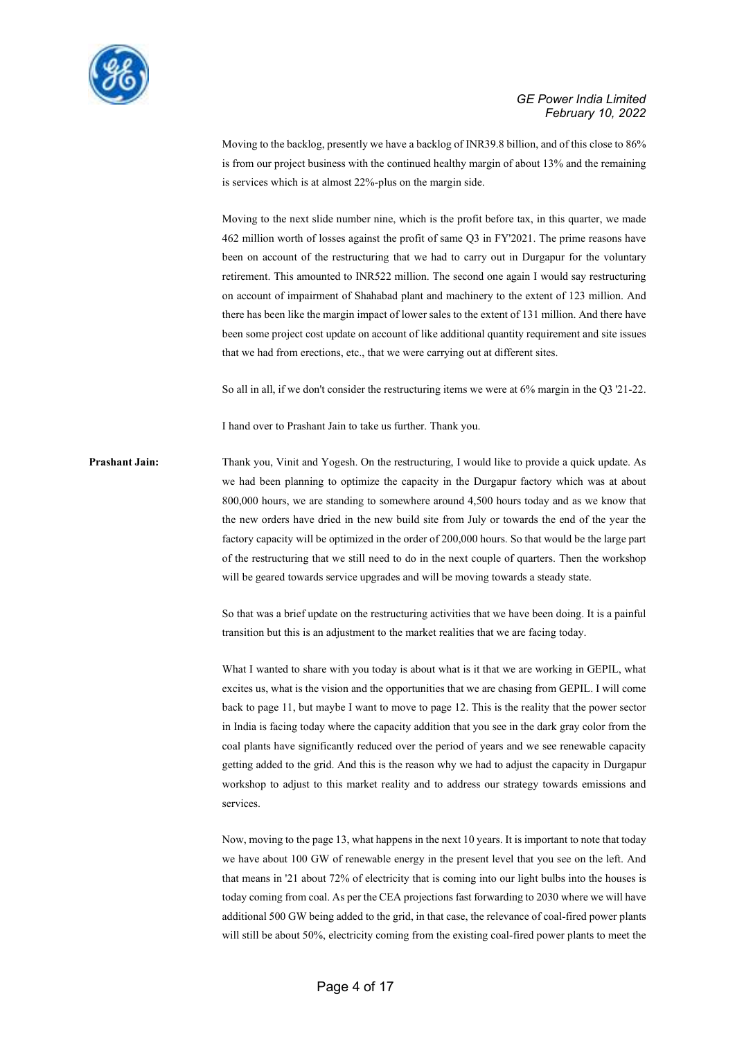

Moving to the backlog, presently we have a backlog of INR39.8 billion, and of this close to 86% is from our project business with the continued healthy margin of about 13% and the remaining is services which is at almost 22%-plus on the margin side.

Moving to the next slide number nine, which is the profit before tax, in this quarter, we made 462 million worth of losses against the profit of same Q3 in FY'2021. The prime reasons have been on account of the restructuring that we had to carry out in Durgapur for the voluntary retirement. This amounted to INR522 million. The second one again I would say restructuring on account of impairment of Shahabad plant and machinery to the extent of 123 million. And there has been like the margin impact of lower sales to the extent of 131 million. And there have been some project cost update on account of like additional quantity requirement and site issues that we had from erections, etc., that we were carrying out at different sites.

So all in all, if we don't consider the restructuring items we were at 6% margin in the Q3 '21-22.

I hand over to Prashant Jain to take us further. Thank you.

**Prashant Jain:** Thank you, Vinit and Yogesh. On the restructuring, I would like to provide a quick update. As we had been planning to optimize the capacity in the Durgapur factory which was at about 800,000 hours, we are standing to somewhere around 4,500 hours today and as we know that the new orders have dried in the new build site from July or towards the end of the year the factory capacity will be optimized in the order of 200,000 hours. So that would be the large part of the restructuring that we still need to do in the next couple of quarters. Then the workshop will be geared towards service upgrades and will be moving towards a steady state.

> So that was a brief update on the restructuring activities that we have been doing. It is a painful transition but this is an adjustment to the market realities that we are facing today.

> What I wanted to share with you today is about what is it that we are working in GEPIL, what excites us, what is the vision and the opportunities that we are chasing from GEPIL. I will come back to page 11, but maybe I want to move to page 12. This is the reality that the power sector in India is facing today where the capacity addition that you see in the dark gray color from the coal plants have significantly reduced over the period of years and we see renewable capacity getting added to the grid. And this is the reason why we had to adjust the capacity in Durgapur workshop to adjust to this market reality and to address our strategy towards emissions and services.

> Now, moving to the page 13, what happens in the next 10 years. It is important to note that today we have about 100 GW of renewable energy in the present level that you see on the left. And that means in '21 about 72% of electricity that is coming into our light bulbs into the houses is today coming from coal. As per the CEA projections fast forwarding to 2030 where we will have additional 500 GW being added to the grid, in that case, the relevance of coal-fired power plants will still be about 50%, electricity coming from the existing coal-fired power plants to meet the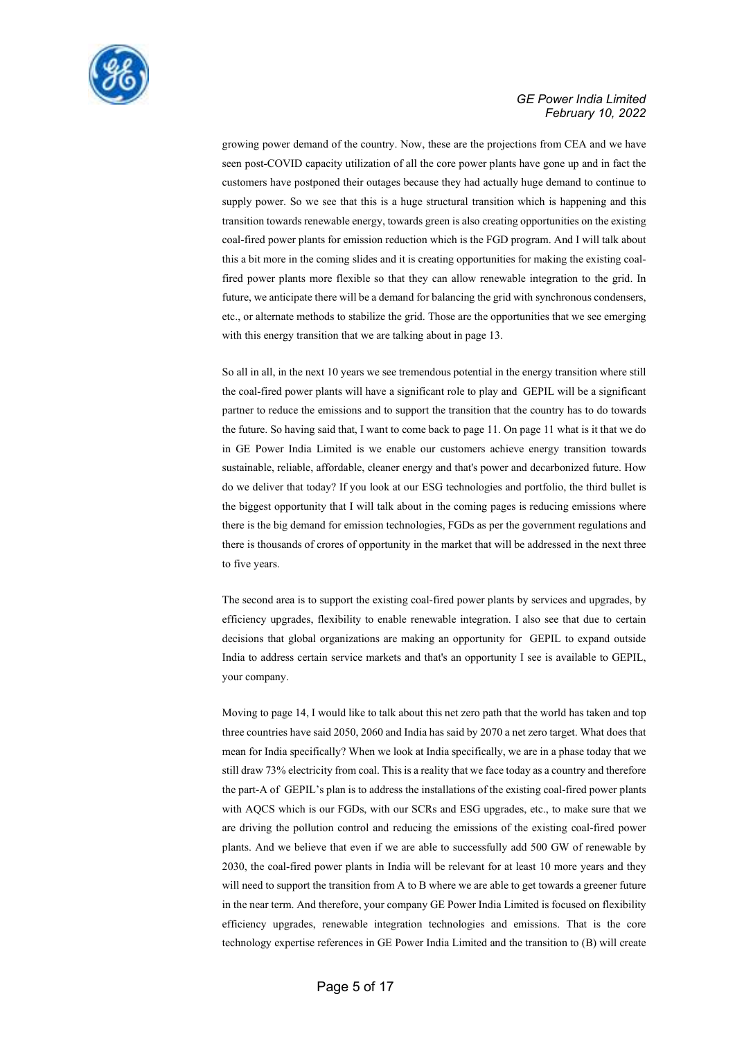

growing power demand of the country. Now, these are the projections from CEA and we have seen post-COVID capacity utilization of all the core power plants have gone up and in fact the customers have postponed their outages because they had actually huge demand to continue to supply power. So we see that this is a huge structural transition which is happening and this transition towards renewable energy, towards green is also creating opportunities on the existing coal-fired power plants for emission reduction which is the FGD program. And I will talk about this a bit more in the coming slides and it is creating opportunities for making the existing coalfired power plants more flexible so that they can allow renewable integration to the grid. In future, we anticipate there will be a demand for balancing the grid with synchronous condensers, etc., or alternate methods to stabilize the grid. Those are the opportunities that we see emerging with this energy transition that we are talking about in page 13.

So all in all, in the next 10 years we see tremendous potential in the energy transition where still the coal-fired power plants will have a significant role to play and GEPIL will be a significant partner to reduce the emissions and to support the transition that the country has to do towards the future. So having said that, I want to come back to page 11. On page 11 what is it that we do in GE Power India Limited is we enable our customers achieve energy transition towards sustainable, reliable, affordable, cleaner energy and that's power and decarbonized future. How do we deliver that today? If you look at our ESG technologies and portfolio, the third bullet is the biggest opportunity that I will talk about in the coming pages is reducing emissions where there is the big demand for emission technologies, FGDs as per the government regulations and there is thousands of crores of opportunity in the market that will be addressed in the next three to five years.

The second area is to support the existing coal-fired power plants by services and upgrades, by efficiency upgrades, flexibility to enable renewable integration. I also see that due to certain decisions that global organizations are making an opportunity for GEPIL to expand outside India to address certain service markets and that's an opportunity I see is available to GEPIL, your company.

Moving to page 14, I would like to talk about this net zero path that the world has taken and top three countries have said 2050, 2060 and India has said by 2070 a net zero target. What does that mean for India specifically? When we look at India specifically, we are in a phase today that we still draw 73% electricity from coal. This is a reality that we face today as a country and therefore the part-A of GEPIL's plan is to address the installations of the existing coal-fired power plants with AQCS which is our FGDs, with our SCRs and ESG upgrades, etc., to make sure that we are driving the pollution control and reducing the emissions of the existing coal-fired power plants. And we believe that even if we are able to successfully add 500 GW of renewable by 2030, the coal-fired power plants in India will be relevant for at least 10 more years and they will need to support the transition from A to B where we are able to get towards a greener future in the near term. And therefore, your company GE Power India Limited is focused on flexibility efficiency upgrades, renewable integration technologies and emissions. That is the core technology expertise references in GE Power India Limited and the transition to (B) will create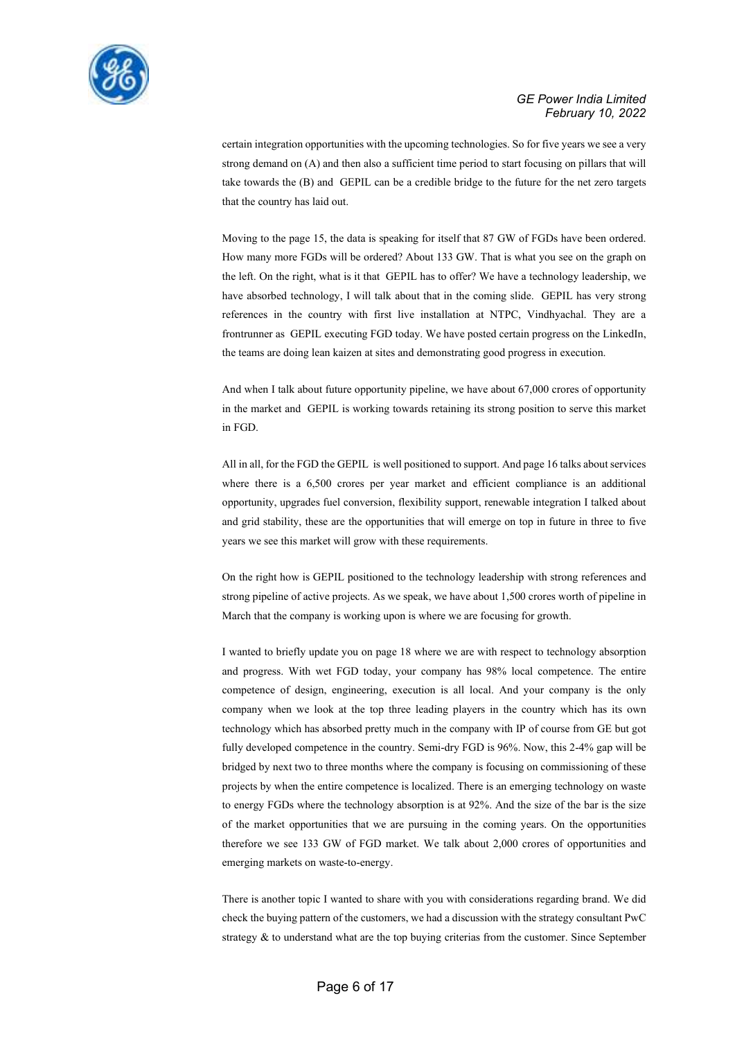

certain integration opportunities with the upcoming technologies. So for five years we see a very strong demand on (A) and then also a sufficient time period to start focusing on pillars that will take towards the (B) and GEPIL can be a credible bridge to the future for the net zero targets that the country has laid out.

Moving to the page 15, the data is speaking for itself that 87 GW of FGDs have been ordered. How many more FGDs will be ordered? About 133 GW. That is what you see on the graph on the left. On the right, what is it that GEPIL has to offer? We have a technology leadership, we have absorbed technology, I will talk about that in the coming slide. GEPIL has very strong references in the country with first live installation at NTPC, Vindhyachal. They are a frontrunner as GEPIL executing FGD today. We have posted certain progress on the LinkedIn, the teams are doing lean kaizen at sites and demonstrating good progress in execution.

And when I talk about future opportunity pipeline, we have about 67,000 crores of opportunity in the market and GEPIL is working towards retaining its strong position to serve this market in FGD.

All in all, for the FGD the GEPIL is well positioned to support. And page 16 talks about services where there is a 6,500 crores per year market and efficient compliance is an additional opportunity, upgrades fuel conversion, flexibility support, renewable integration I talked about and grid stability, these are the opportunities that will emerge on top in future in three to five years we see this market will grow with these requirements.

On the right how is GEPIL positioned to the technology leadership with strong references and strong pipeline of active projects. As we speak, we have about 1,500 crores worth of pipeline in March that the company is working upon is where we are focusing for growth.

I wanted to briefly update you on page 18 where we are with respect to technology absorption and progress. With wet FGD today, your company has 98% local competence. The entire competence of design, engineering, execution is all local. And your company is the only company when we look at the top three leading players in the country which has its own technology which has absorbed pretty much in the company with IP of course from GE but got fully developed competence in the country. Semi-dry FGD is 96%. Now, this 2-4% gap will be bridged by next two to three months where the company is focusing on commissioning of these projects by when the entire competence is localized. There is an emerging technology on waste to energy FGDs where the technology absorption is at 92%. And the size of the bar is the size of the market opportunities that we are pursuing in the coming years. On the opportunities therefore we see 133 GW of FGD market. We talk about 2,000 crores of opportunities and emerging markets on waste-to-energy.

There is another topic I wanted to share with you with considerations regarding brand. We did check the buying pattern of the customers, we had a discussion with the strategy consultant PwC strategy & to understand what are the top buying criterias from the customer. Since September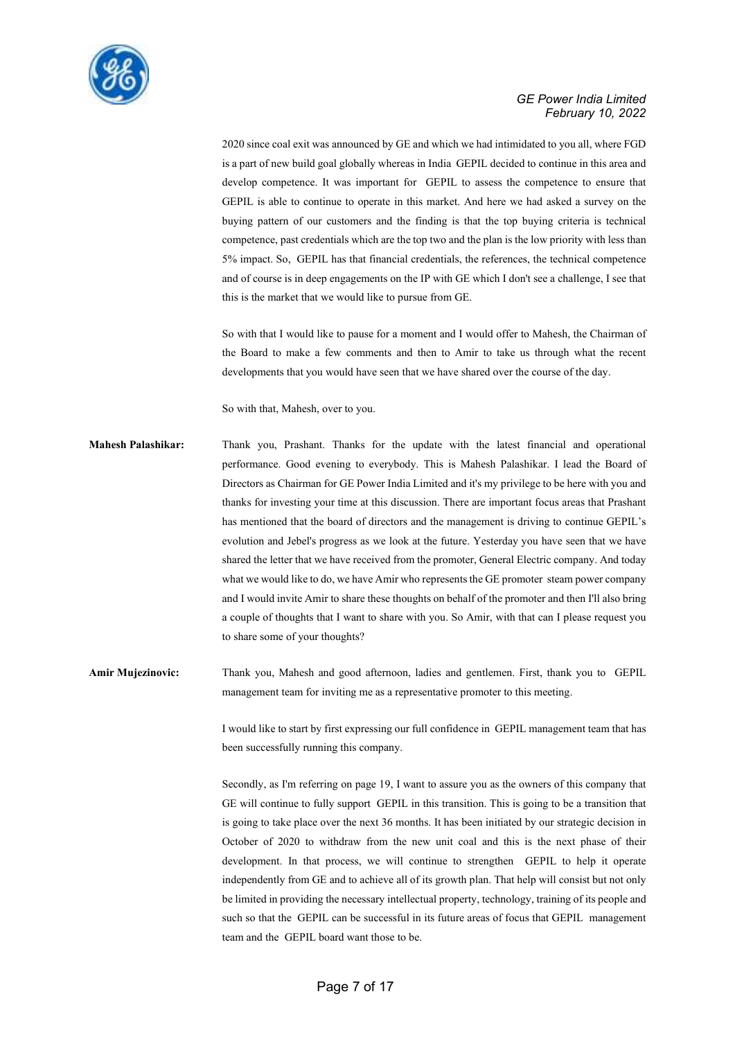

2020 since coal exit was announced by GE and which we had intimidated to you all, where FGD is a part of new build goal globally whereas in India GEPIL decided to continue in this area and develop competence. It was important for GEPIL to assess the competence to ensure that GEPIL is able to continue to operate in this market. And here we had asked a survey on the buying pattern of our customers and the finding is that the top buying criteria is technical competence, past credentials which are the top two and the plan is the low priority with less than 5% impact. So, GEPIL has that financial credentials, the references, the technical competence and of course is in deep engagements on the IP with GE which I don't see a challenge, I see that this is the market that we would like to pursue from GE.

So with that I would like to pause for a moment and I would offer to Mahesh, the Chairman of the Board to make a few comments and then to Amir to take us through what the recent developments that you would have seen that we have shared over the course of the day.

So with that, Mahesh, over to you.

- **Mahesh Palashikar:** Thank you, Prashant. Thanks for the update with the latest financial and operational performance. Good evening to everybody. This is Mahesh Palashikar. I lead the Board of Directors as Chairman for GE Power India Limited and it's my privilege to be here with you and thanks for investing your time at this discussion. There are important focus areas that Prashant has mentioned that the board of directors and the management is driving to continue GEPIL's evolution and Jebel's progress as we look at the future. Yesterday you have seen that we have shared the letter that we have received from the promoter, General Electric company. And today what we would like to do, we have Amir who represents the GE promoter steam power company and I would invite Amir to share these thoughts on behalf of the promoter and then I'll also bring a couple of thoughts that I want to share with you. So Amir, with that can I please request you to share some of your thoughts?
- **Amir Mujezinovic:** Thank you, Mahesh and good afternoon, ladies and gentlemen. First, thank you to GEPIL management team for inviting me as a representative promoter to this meeting.

I would like to start by first expressing our full confidence in GEPIL management team that has been successfully running this company.

Secondly, as I'm referring on page 19, I want to assure you as the owners of this company that GE will continue to fully support GEPIL in this transition. This is going to be a transition that is going to take place over the next 36 months. It has been initiated by our strategic decision in October of 2020 to withdraw from the new unit coal and this is the next phase of their development. In that process, we will continue to strengthen GEPIL to help it operate independently from GE and to achieve all of its growth plan. That help will consist but not only be limited in providing the necessary intellectual property, technology, training of its people and such so that the GEPIL can be successful in its future areas of focus that GEPIL management team and the GEPIL board want those to be.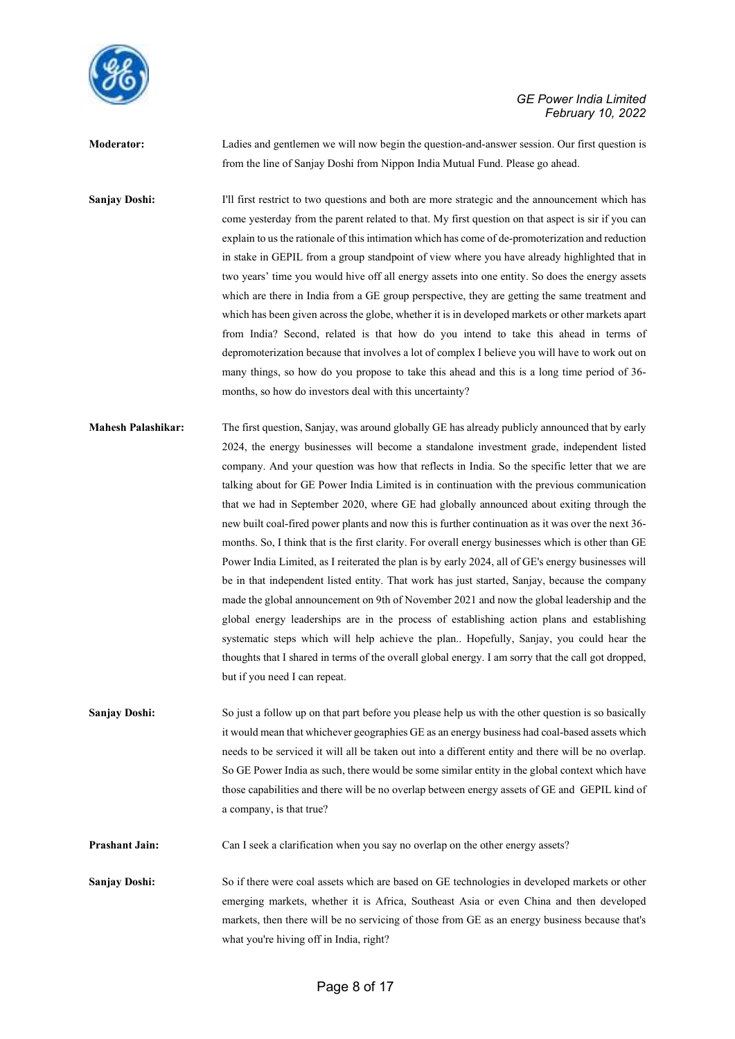

**Moderator:** Ladies and gentlemen we will now begin the question-and-answer session. Our first question is from the line of Sanjay Doshi from Nippon India Mutual Fund. Please go ahead.

**Sanjay Doshi:** I'll first restrict to two questions and both are more strategic and the announcement which has come yesterday from the parent related to that. My first question on that aspect is sir if you can explain to us the rationale of this intimation which has come of de-promoterization and reduction in stake in GEPIL from a group standpoint of view where you have already highlighted that in two years' time you would hive off all energy assets into one entity. So does the energy assets which are there in India from a GE group perspective, they are getting the same treatment and which has been given across the globe, whether it is in developed markets or other markets apart from India? Second, related is that how do you intend to take this ahead in terms of depromoterization because that involves a lot of complex I believe you will have to work out on many things, so how do you propose to take this ahead and this is a long time period of 36 months, so how do investors deal with this uncertainty?

**Mahesh Palashikar:** The first question, Sanjay, was around globally GE has already publicly announced that by early 2024, the energy businesses will become a standalone investment grade, independent listed company. And your question was how that reflects in India. So the specific letter that we are talking about for GE Power India Limited is in continuation with the previous communication that we had in September 2020, where GE had globally announced about exiting through the new built coal-fired power plants and now this is further continuation as it was over the next 36 months. So, I think that is the first clarity. For overall energy businesses which is other than GE Power India Limited, as I reiterated the plan is by early 2024, all of GE's energy businesses will be in that independent listed entity. That work has just started, Sanjay, because the company made the global announcement on 9th of November 2021 and now the global leadership and the global energy leaderships are in the process of establishing action plans and establishing systematic steps which will help achieve the plan.. Hopefully, Sanjay, you could hear the thoughts that I shared in terms of the overall global energy. I am sorry that the call got dropped, but if you need I can repeat.

**Sanjay Doshi:** So just a follow up on that part before you please help us with the other question is so basically it would mean that whichever geographies GE as an energy business had coal-based assets which needs to be serviced it will all be taken out into a different entity and there will be no overlap. So GE Power India as such, there would be some similar entity in the global context which have those capabilities and there will be no overlap between energy assets of GE and GEPIL kind of a company, is that true?

**Prashant Jain:** Can I seek a clarification when you say no overlap on the other energy assets?

**Sanjay Doshi:** So if there were coal assets which are based on GE technologies in developed markets or other emerging markets, whether it is Africa, Southeast Asia or even China and then developed markets, then there will be no servicing of those from GE as an energy business because that's what you're hiving off in India, right?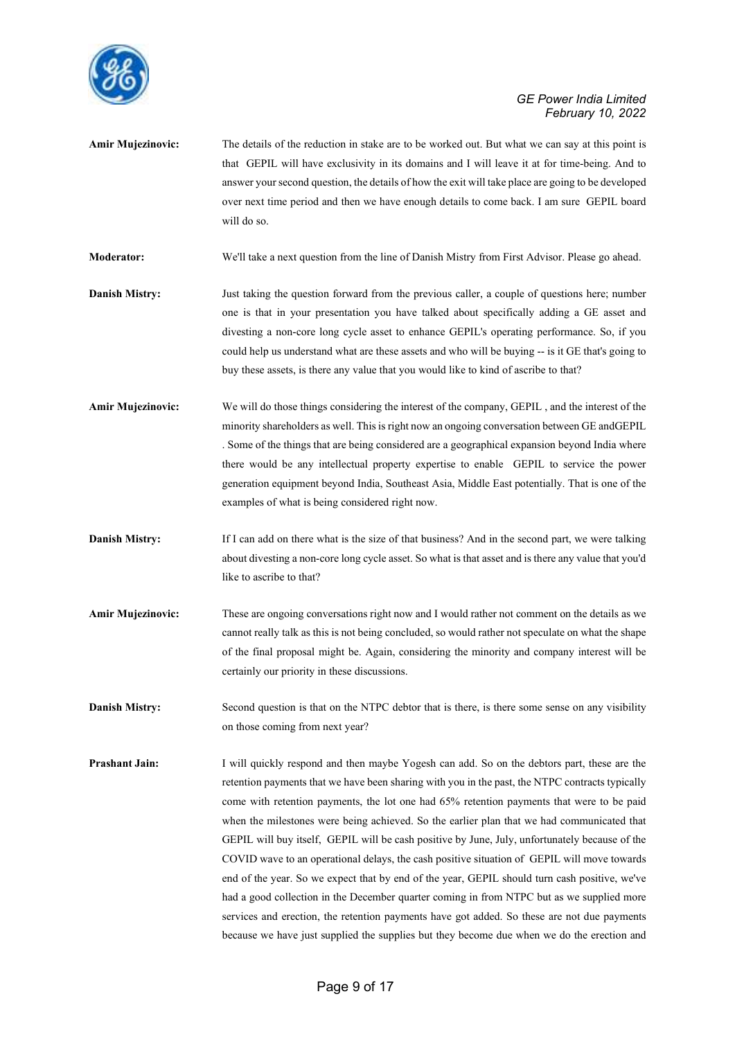

**Amir Mujezinovic:** The details of the reduction in stake are to be worked out. But what we can say at this point is that GEPIL will have exclusivity in its domains and I will leave it at for time-being. And to answer your second question, the details of how the exit will take place are going to be developed over next time period and then we have enough details to come back. I am sure GEPIL board will do so.

**Moderator:** We'll take a next question from the line of Danish Mistry from First Advisor. Please go ahead.

- **Danish Mistry:** Just taking the question forward from the previous caller, a couple of questions here; number one is that in your presentation you have talked about specifically adding a GE asset and divesting a non-core long cycle asset to enhance GEPIL's operating performance. So, if you could help us understand what are these assets and who will be buying -- is it GE that's going to buy these assets, is there any value that you would like to kind of ascribe to that?
- **Amir Mujezinovic:** We will do those things considering the interest of the company, GEPIL , and the interest of the minority shareholders as well. This is right now an ongoing conversation between GE andGEPIL . Some of the things that are being considered are a geographical expansion beyond India where there would be any intellectual property expertise to enable GEPIL to service the power generation equipment beyond India, Southeast Asia, Middle East potentially. That is one of the examples of what is being considered right now.
- **Danish Mistry:** If I can add on there what is the size of that business? And in the second part, we were talking about divesting a non-core long cycle asset. So what is that asset and is there any value that you'd like to ascribe to that?
- **Amir Mujezinovic:** These are ongoing conversations right now and I would rather not comment on the details as we cannot really talk as this is not being concluded, so would rather not speculate on what the shape of the final proposal might be. Again, considering the minority and company interest will be certainly our priority in these discussions.
- **Danish Mistry:** Second question is that on the NTPC debtor that is there, is there some sense on any visibility on those coming from next year?
- **Prashant Jain:** I will quickly respond and then maybe Yogesh can add. So on the debtors part, these are the retention payments that we have been sharing with you in the past, the NTPC contracts typically come with retention payments, the lot one had 65% retention payments that were to be paid when the milestones were being achieved. So the earlier plan that we had communicated that GEPIL will buy itself, GEPIL will be cash positive by June, July, unfortunately because of the COVID wave to an operational delays, the cash positive situation of GEPIL will move towards end of the year. So we expect that by end of the year, GEPIL should turn cash positive, we've had a good collection in the December quarter coming in from NTPC but as we supplied more services and erection, the retention payments have got added. So these are not due payments because we have just supplied the supplies but they become due when we do the erection and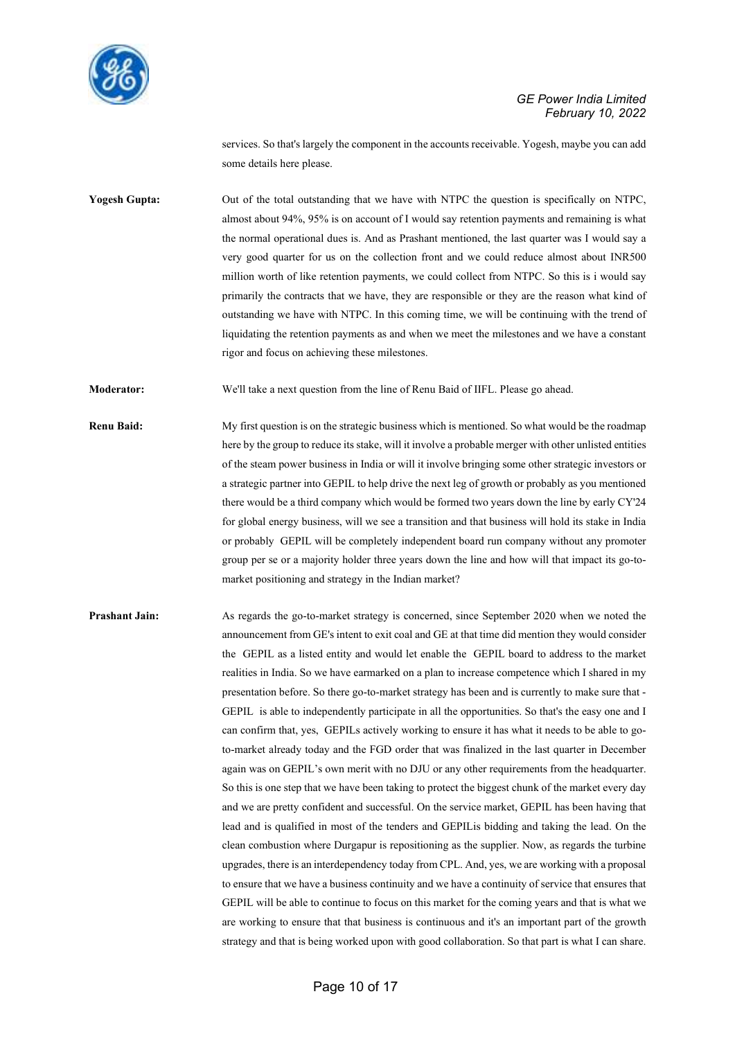

services. So that's largely the component in the accounts receivable. Yogesh, maybe you can add some details here please.

**Yogesh Gupta:** Out of the total outstanding that we have with NTPC the question is specifically on NTPC, almost about 94%, 95% is on account of I would say retention payments and remaining is what the normal operational dues is. And as Prashant mentioned, the last quarter was I would say a very good quarter for us on the collection front and we could reduce almost about INR500 million worth of like retention payments, we could collect from NTPC. So this is i would say primarily the contracts that we have, they are responsible or they are the reason what kind of outstanding we have with NTPC. In this coming time, we will be continuing with the trend of liquidating the retention payments as and when we meet the milestones and we have a constant rigor and focus on achieving these milestones.

**Moderator:** We'll take a next question from the line of Renu Baid of IIFL. Please go ahead.

- **Renu Baid:** My first question is on the strategic business which is mentioned. So what would be the roadmap here by the group to reduce its stake, will it involve a probable merger with other unlisted entities of the steam power business in India or will it involve bringing some other strategic investors or a strategic partner into GEPIL to help drive the next leg of growth or probably as you mentioned there would be a third company which would be formed two years down the line by early CY'24 for global energy business, will we see a transition and that business will hold its stake in India or probably GEPIL will be completely independent board run company without any promoter group per se or a majority holder three years down the line and how will that impact its go-tomarket positioning and strategy in the Indian market?
- **Prashant Jain:** As regards the go-to-market strategy is concerned, since September 2020 when we noted the announcement from GE's intent to exit coal and GE at that time did mention they would consider the GEPIL as a listed entity and would let enable the GEPIL board to address to the market realities in India. So we have earmarked on a plan to increase competence which I shared in my presentation before. So there go-to-market strategy has been and is currently to make sure that - GEPIL is able to independently participate in all the opportunities. So that's the easy one and I can confirm that, yes, GEPILs actively working to ensure it has what it needs to be able to goto-market already today and the FGD order that was finalized in the last quarter in December again was on GEPIL's own merit with no DJU or any other requirements from the headquarter. So this is one step that we have been taking to protect the biggest chunk of the market every day and we are pretty confident and successful. On the service market, GEPIL has been having that lead and is qualified in most of the tenders and GEPILis bidding and taking the lead. On the clean combustion where Durgapur is repositioning as the supplier. Now, as regards the turbine upgrades, there is an interdependency today from CPL. And, yes, we are working with a proposal to ensure that we have a business continuity and we have a continuity of service that ensures that GEPIL will be able to continue to focus on this market for the coming years and that is what we are working to ensure that that business is continuous and it's an important part of the growth strategy and that is being worked upon with good collaboration. So that part is what I can share.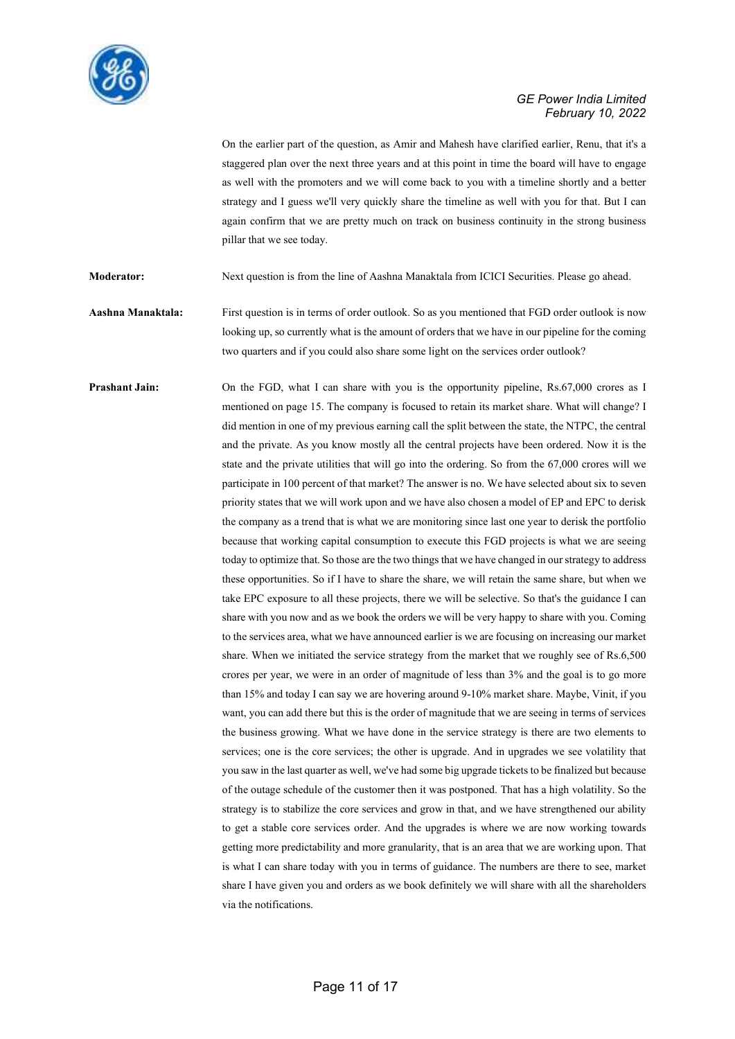

On the earlier part of the question, as Amir and Mahesh have clarified earlier, Renu, that it's a staggered plan over the next three years and at this point in time the board will have to engage as well with the promoters and we will come back to you with a timeline shortly and a better strategy and I guess we'll very quickly share the timeline as well with you for that. But I can again confirm that we are pretty much on track on business continuity in the strong business pillar that we see today.

**Moderator:** Next question is from the line of Aashna Manaktala from ICICI Securities. Please go ahead.

**Aashna Manaktala:** First question is in terms of order outlook. So as you mentioned that FGD order outlook is now looking up, so currently what is the amount of orders that we have in our pipeline for the coming two quarters and if you could also share some light on the services order outlook?

**Prashant Jain:** On the FGD, what I can share with you is the opportunity pipeline, Rs.67,000 crores as I mentioned on page 15. The company is focused to retain its market share. What will change? I did mention in one of my previous earning call the split between the state, the NTPC, the central and the private. As you know mostly all the central projects have been ordered. Now it is the state and the private utilities that will go into the ordering. So from the 67,000 crores will we participate in 100 percent of that market? The answer is no. We have selected about six to seven priority states that we will work upon and we have also chosen a model of EP and EPC to derisk the company as a trend that is what we are monitoring since last one year to derisk the portfolio because that working capital consumption to execute this FGD projects is what we are seeing today to optimize that. So those are the two things that we have changed in our strategy to address these opportunities. So if I have to share the share, we will retain the same share, but when we take EPC exposure to all these projects, there we will be selective. So that's the guidance I can share with you now and as we book the orders we will be very happy to share with you. Coming to the services area, what we have announced earlier is we are focusing on increasing our market share. When we initiated the service strategy from the market that we roughly see of Rs.6,500 crores per year, we were in an order of magnitude of less than 3% and the goal is to go more than 15% and today I can say we are hovering around 9-10% market share. Maybe, Vinit, if you want, you can add there but this is the order of magnitude that we are seeing in terms of services the business growing. What we have done in the service strategy is there are two elements to services; one is the core services; the other is upgrade. And in upgrades we see volatility that you saw in the last quarter as well, we've had some big upgrade tickets to be finalized but because of the outage schedule of the customer then it was postponed. That has a high volatility. So the strategy is to stabilize the core services and grow in that, and we have strengthened our ability to get a stable core services order. And the upgrades is where we are now working towards getting more predictability and more granularity, that is an area that we are working upon. That is what I can share today with you in terms of guidance. The numbers are there to see, market share I have given you and orders as we book definitely we will share with all the shareholders via the notifications.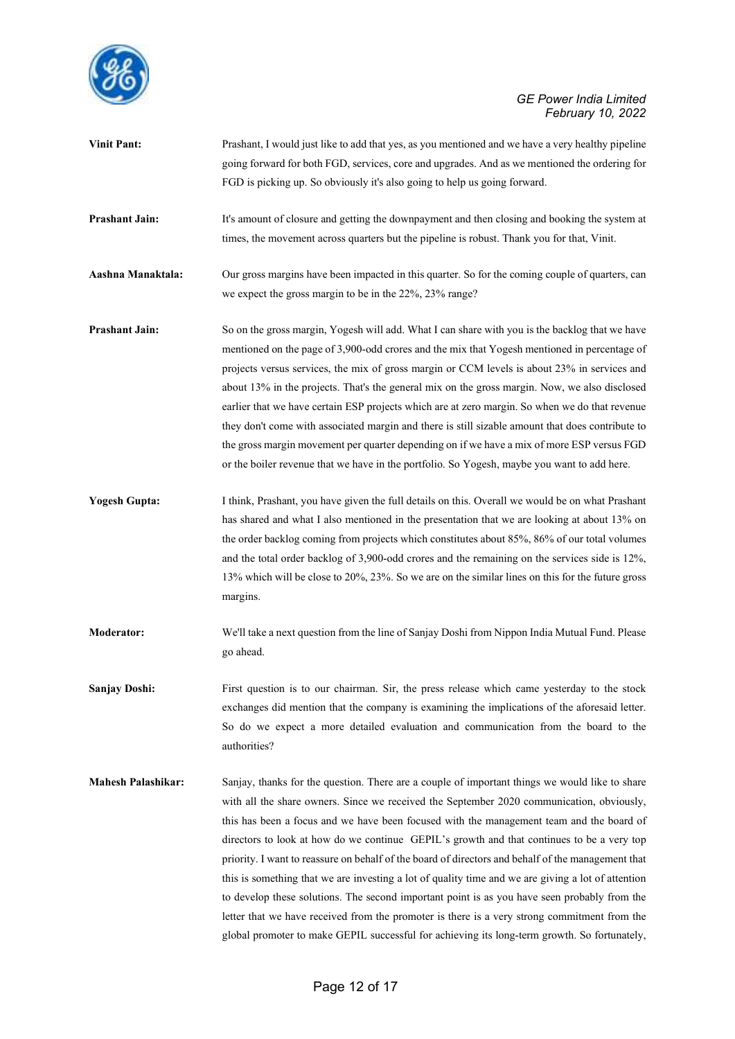

| <b>Vinit Pant:</b>    | Prashant, I would just like to add that yes, as you mentioned and we have a very healthy pipeline<br>going forward for both FGD, services, core and upgrades. And as we mentioned the ordering for<br>FGD is picking up. So obviously it's also going to help us going forward.                                                                                                                                                                                                                                                                                                                                                                                                                                                                                                                    |
|-----------------------|----------------------------------------------------------------------------------------------------------------------------------------------------------------------------------------------------------------------------------------------------------------------------------------------------------------------------------------------------------------------------------------------------------------------------------------------------------------------------------------------------------------------------------------------------------------------------------------------------------------------------------------------------------------------------------------------------------------------------------------------------------------------------------------------------|
| <b>Prashant Jain:</b> | It's amount of closure and getting the downpayment and then closing and booking the system at<br>times, the movement across quarters but the pipeline is robust. Thank you for that, Vinit.                                                                                                                                                                                                                                                                                                                                                                                                                                                                                                                                                                                                        |
| Aashna Manaktala:     | Our gross margins have been impacted in this quarter. So for the coming couple of quarters, can<br>we expect the gross margin to be in the 22%, 23% range?                                                                                                                                                                                                                                                                                                                                                                                                                                                                                                                                                                                                                                         |
| <b>Prashant Jain:</b> | So on the gross margin, Yogesh will add. What I can share with you is the backlog that we have<br>mentioned on the page of 3,900-odd crores and the mix that Yogesh mentioned in percentage of<br>projects versus services, the mix of gross margin or CCM levels is about 23% in services and<br>about 13% in the projects. That's the general mix on the gross margin. Now, we also disclosed<br>earlier that we have certain ESP projects which are at zero margin. So when we do that revenue<br>they don't come with associated margin and there is still sizable amount that does contribute to<br>the gross margin movement per quarter depending on if we have a mix of more ESP versus FGD<br>or the boiler revenue that we have in the portfolio. So Yogesh, maybe you want to add here. |
| <b>Yogesh Gupta:</b>  | I think, Prashant, you have given the full details on this. Overall we would be on what Prashant<br>has shared and what I also mentioned in the presentation that we are looking at about 13% on<br>the order backlog coming from projects which constitutes about 85%, 86% of our total volumes<br>and the total order backlog of 3,900-odd crores and the remaining on the services side is 12%,<br>13% which will be close to 20%, 23%. So we are on the similar lines on this for the future gross<br>margins.                                                                                                                                                                                                                                                                                 |
| <b>Moderator:</b>     | We'll take a next question from the line of Sanjay Doshi from Nippon India Mutual Fund. Please<br>go ahead.                                                                                                                                                                                                                                                                                                                                                                                                                                                                                                                                                                                                                                                                                        |
| <b>Sanjay Doshi:</b>  | First question is to our chairman. Sir, the press release which came yesterday to the stock<br>exchanges did mention that the company is examining the implications of the aforesaid letter.<br>So do we expect a more detailed evaluation and communication from the board to the<br>authorities?                                                                                                                                                                                                                                                                                                                                                                                                                                                                                                 |

**Mahesh Palashikar:** Sanjay, thanks for the question. There are a couple of important things we would like to share with all the share owners. Since we received the September 2020 communication, obviously, this has been a focus and we have been focused with the management team and the board of directors to look at how do we continue GEPIL's growth and that continues to be a very top priority. I want to reassure on behalf of the board of directors and behalf of the management that this is something that we are investing a lot of quality time and we are giving a lot of attention to develop these solutions. The second important point is as you have seen probably from the letter that we have received from the promoter is there is a very strong commitment from the global promoter to make GEPIL successful for achieving its long-term growth. So fortunately,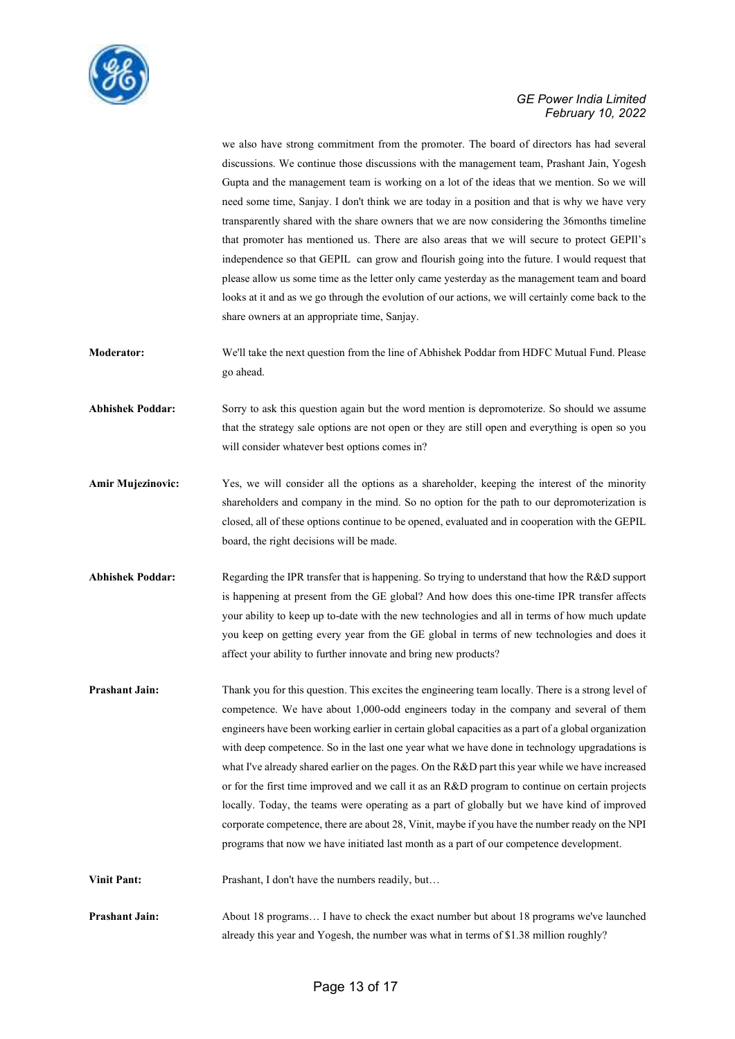

we also have strong commitment from the promoter. The board of directors has had several discussions. We continue those discussions with the management team, Prashant Jain, Yogesh Gupta and the management team is working on a lot of the ideas that we mention. So we will need some time, Sanjay. I don't think we are today in a position and that is why we have very transparently shared with the share owners that we are now considering the 36months timeline that promoter has mentioned us. There are also areas that we will secure to protect GEPIl's independence so that GEPIL can grow and flourish going into the future. I would request that please allow us some time as the letter only came yesterday as the management team and board looks at it and as we go through the evolution of our actions, we will certainly come back to the share owners at an appropriate time, Sanjay.

**Moderator:** We'll take the next question from the line of Abhishek Poddar from HDFC Mutual Fund. Please go ahead.

**Abhishek Poddar:** Sorry to ask this question again but the word mention is depromoterize. So should we assume that the strategy sale options are not open or they are still open and everything is open so you will consider whatever best options comes in?

- Amir Mujezinovic: Yes, we will consider all the options as a shareholder, keeping the interest of the minority shareholders and company in the mind. So no option for the path to our depromoterization is closed, all of these options continue to be opened, evaluated and in cooperation with the GEPIL board, the right decisions will be made.
- **Abhishek Poddar:** Regarding the IPR transfer that is happening. So trying to understand that how the R&D support is happening at present from the GE global? And how does this one-time IPR transfer affects your ability to keep up to-date with the new technologies and all in terms of how much update you keep on getting every year from the GE global in terms of new technologies and does it affect your ability to further innovate and bring new products?
- **Prashant Jain:** Thank you for this question. This excites the engineering team locally. There is a strong level of competence. We have about 1,000-odd engineers today in the company and several of them engineers have been working earlier in certain global capacities as a part of a global organization with deep competence. So in the last one year what we have done in technology upgradations is what I've already shared earlier on the pages. On the R&D part this year while we have increased or for the first time improved and we call it as an R&D program to continue on certain projects locally. Today, the teams were operating as a part of globally but we have kind of improved corporate competence, there are about 28, Vinit, maybe if you have the number ready on the NPI programs that now we have initiated last month as a part of our competence development.

**Vinit Pant:** Prashant, I don't have the numbers readily, but...

**Prashant Jain:** About 18 programs… I have to check the exact number but about 18 programs we've launched already this year and Yogesh, the number was what in terms of \$1.38 million roughly?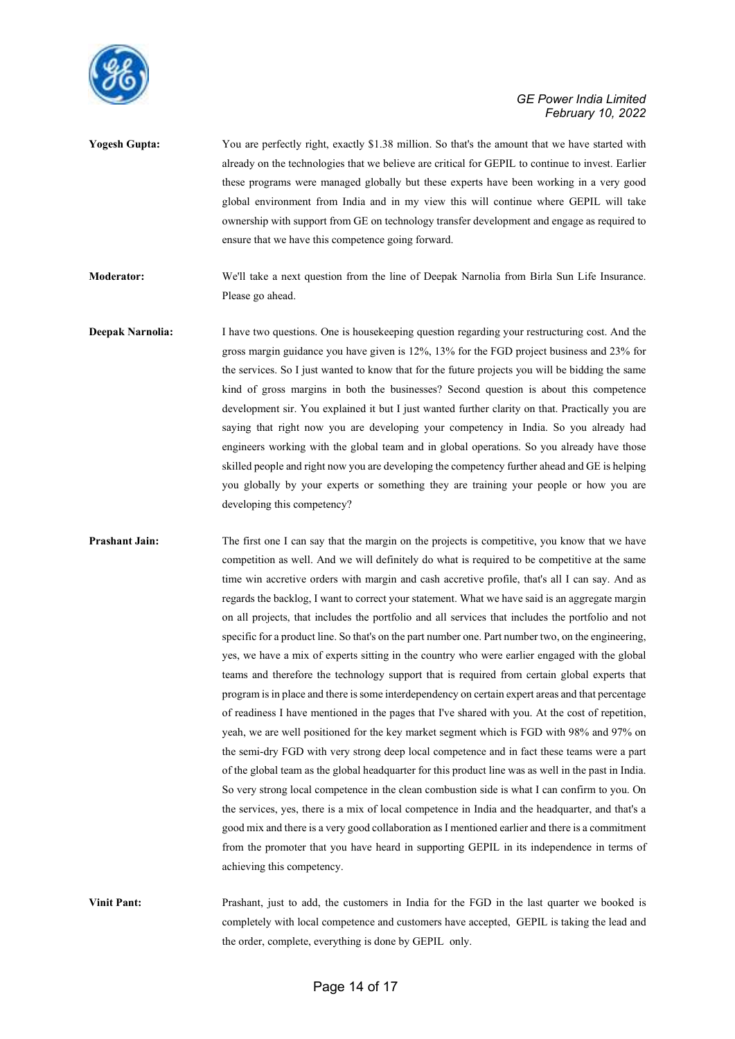

**Yogesh Gupta:** You are perfectly right, exactly \$1.38 million. So that's the amount that we have started with already on the technologies that we believe are critical for GEPIL to continue to invest. Earlier these programs were managed globally but these experts have been working in a very good global environment from India and in my view this will continue where GEPIL will take ownership with support from GE on technology transfer development and engage as required to ensure that we have this competence going forward.

**Moderator:** We'll take a next question from the line of Deepak Narnolia from Birla Sun Life Insurance. Please go ahead.

**Deepak Narnolia:** I have two questions. One is housekeeping question regarding your restructuring cost. And the gross margin guidance you have given is 12%, 13% for the FGD project business and 23% for the services. So I just wanted to know that for the future projects you will be bidding the same kind of gross margins in both the businesses? Second question is about this competence development sir. You explained it but I just wanted further clarity on that. Practically you are saying that right now you are developing your competency in India. So you already had engineers working with the global team and in global operations. So you already have those skilled people and right now you are developing the competency further ahead and GE is helping you globally by your experts or something they are training your people or how you are developing this competency?

**Prashant Jain:** The first one I can say that the margin on the projects is competitive, you know that we have competition as well. And we will definitely do what is required to be competitive at the same time win accretive orders with margin and cash accretive profile, that's all I can say. And as regards the backlog, I want to correct your statement. What we have said is an aggregate margin on all projects, that includes the portfolio and all services that includes the portfolio and not specific for a product line. So that's on the part number one. Part number two, on the engineering, yes, we have a mix of experts sitting in the country who were earlier engaged with the global teams and therefore the technology support that is required from certain global experts that program is in place and there is some interdependency on certain expert areas and that percentage of readiness I have mentioned in the pages that I've shared with you. At the cost of repetition, yeah, we are well positioned for the key market segment which is FGD with 98% and 97% on the semi-dry FGD with very strong deep local competence and in fact these teams were a part of the global team as the global headquarter for this product line was as well in the past in India. So very strong local competence in the clean combustion side is what I can confirm to you. On the services, yes, there is a mix of local competence in India and the headquarter, and that's a good mix and there is a very good collaboration as I mentioned earlier and there is a commitment from the promoter that you have heard in supporting GEPIL in its independence in terms of achieving this competency.

**Vinit Pant:** Prashant, just to add, the customers in India for the FGD in the last quarter we booked is completely with local competence and customers have accepted, GEPIL is taking the lead and the order, complete, everything is done by GEPIL only.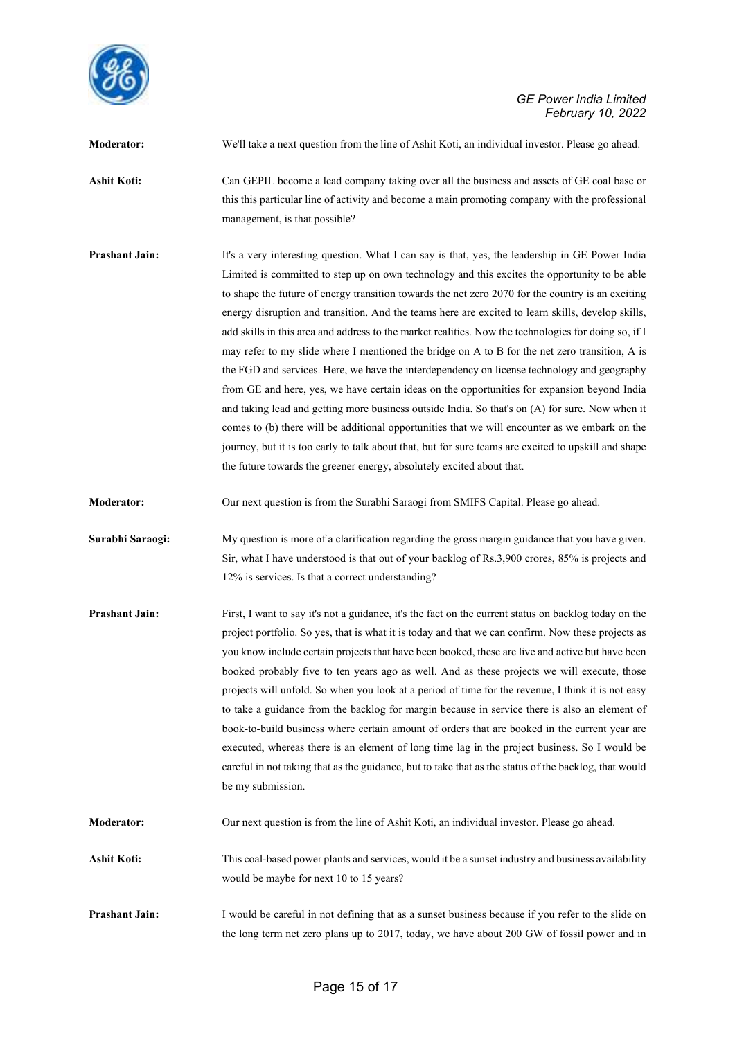

**Moderator:** We'll take a next question from the line of Ashit Koti, an individual investor. Please go ahead. **Ashit Koti:** Can GEPIL become a lead company taking over all the business and assets of GE coal base or this this particular line of activity and become a main promoting company with the professional management, is that possible?

**Prashant Jain:** It's a very interesting question. What I can say is that, yes, the leadership in GE Power India Limited is committed to step up on own technology and this excites the opportunity to be able to shape the future of energy transition towards the net zero 2070 for the country is an exciting energy disruption and transition. And the teams here are excited to learn skills, develop skills, add skills in this area and address to the market realities. Now the technologies for doing so, if I may refer to my slide where I mentioned the bridge on A to B for the net zero transition, A is the FGD and services. Here, we have the interdependency on license technology and geography from GE and here, yes, we have certain ideas on the opportunities for expansion beyond India and taking lead and getting more business outside India. So that's on (A) for sure. Now when it comes to (b) there will be additional opportunities that we will encounter as we embark on the journey, but it is too early to talk about that, but for sure teams are excited to upskill and shape the future towards the greener energy, absolutely excited about that.

**Moderator:** Our next question is from the Surabhi Saraogi from SMIFS Capital. Please go ahead.

**Surabhi Saraogi:** My question is more of a clarification regarding the gross margin guidance that you have given. Sir, what I have understood is that out of your backlog of Rs.3,900 crores, 85% is projects and 12% is services. Is that a correct understanding?

**Prashant Jain:** First, I want to say it's not a guidance, it's the fact on the current status on backlog today on the project portfolio. So yes, that is what it is today and that we can confirm. Now these projects as you know include certain projects that have been booked, these are live and active but have been booked probably five to ten years ago as well. And as these projects we will execute, those projects will unfold. So when you look at a period of time for the revenue, I think it is not easy to take a guidance from the backlog for margin because in service there is also an element of book-to-build business where certain amount of orders that are booked in the current year are executed, whereas there is an element of long time lag in the project business. So I would be careful in not taking that as the guidance, but to take that as the status of the backlog, that would be my submission.

**Moderator:** Our next question is from the line of Ashit Koti, an individual investor. Please go ahead.

**Ashit Koti:** This coal-based power plants and services, would it be a sunset industry and business availability would be maybe for next 10 to 15 years?

**Prashant Jain:** I would be careful in not defining that as a sunset business because if you refer to the slide on the long term net zero plans up to 2017, today, we have about 200 GW of fossil power and in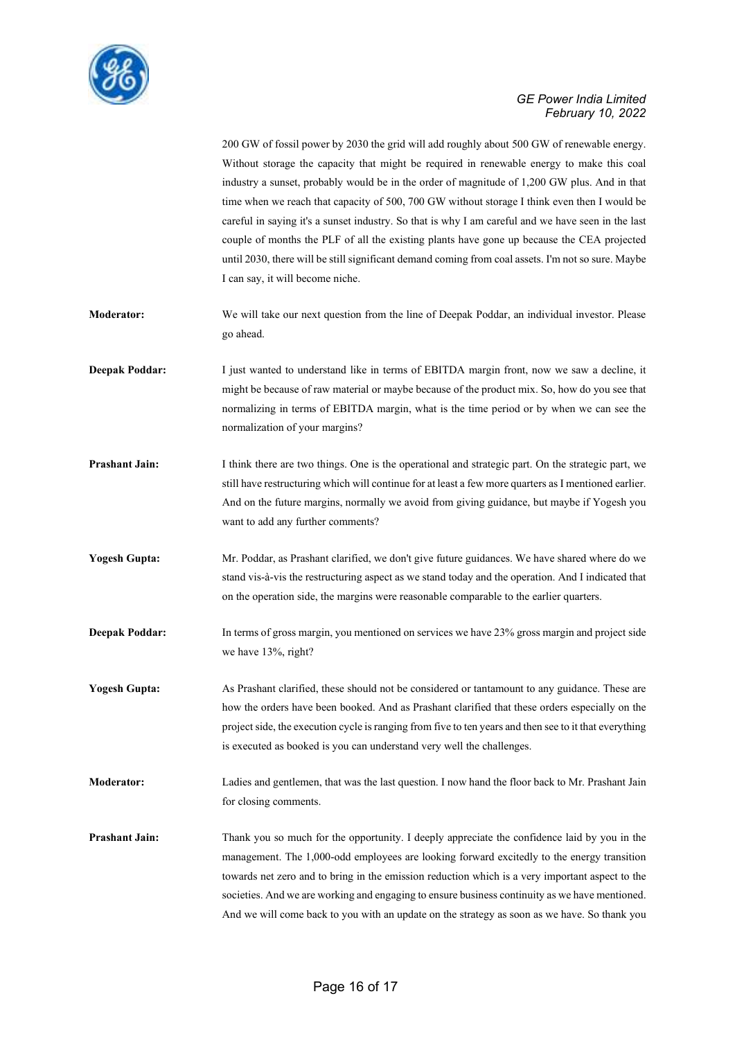

|                       | 200 GW of fossil power by 2030 the grid will add roughly about 500 GW of renewable energy.<br>Without storage the capacity that might be required in renewable energy to make this coal<br>industry a sunset, probably would be in the order of magnitude of 1,200 GW plus. And in that<br>time when we reach that capacity of 500, 700 GW without storage I think even then I would be<br>careful in saying it's a sunset industry. So that is why I am careful and we have seen in the last<br>couple of months the PLF of all the existing plants have gone up because the CEA projected<br>until 2030, there will be still significant demand coming from coal assets. I'm not so sure. Maybe<br>I can say, it will become niche. |
|-----------------------|---------------------------------------------------------------------------------------------------------------------------------------------------------------------------------------------------------------------------------------------------------------------------------------------------------------------------------------------------------------------------------------------------------------------------------------------------------------------------------------------------------------------------------------------------------------------------------------------------------------------------------------------------------------------------------------------------------------------------------------|
| Moderator:            | We will take our next question from the line of Deepak Poddar, an individual investor. Please<br>go ahead.                                                                                                                                                                                                                                                                                                                                                                                                                                                                                                                                                                                                                            |
| <b>Deepak Poddar:</b> | I just wanted to understand like in terms of EBITDA margin front, now we saw a decline, it<br>might be because of raw material or maybe because of the product mix. So, how do you see that<br>normalizing in terms of EBITDA margin, what is the time period or by when we can see the<br>normalization of your margins?                                                                                                                                                                                                                                                                                                                                                                                                             |
| <b>Prashant Jain:</b> | I think there are two things. One is the operational and strategic part. On the strategic part, we<br>still have restructuring which will continue for at least a few more quarters as I mentioned earlier.<br>And on the future margins, normally we avoid from giving guidance, but maybe if Yogesh you<br>want to add any further comments?                                                                                                                                                                                                                                                                                                                                                                                        |
| <b>Yogesh Gupta:</b>  | Mr. Poddar, as Prashant clarified, we don't give future guidances. We have shared where do we<br>stand vis-à-vis the restructuring aspect as we stand today and the operation. And I indicated that<br>on the operation side, the margins were reasonable comparable to the earlier quarters.                                                                                                                                                                                                                                                                                                                                                                                                                                         |
| <b>Deepak Poddar:</b> | In terms of gross margin, you mentioned on services we have 23% gross margin and project side<br>we have 13%, right?                                                                                                                                                                                                                                                                                                                                                                                                                                                                                                                                                                                                                  |
| <b>Yogesh Gupta:</b>  | As Prashant clarified, these should not be considered or tantamount to any guidance. These are<br>how the orders have been booked. And as Prashant clarified that these orders especially on the<br>project side, the execution cycle is ranging from five to ten years and then see to it that everything<br>is executed as booked is you can understand very well the challenges.                                                                                                                                                                                                                                                                                                                                                   |
| <b>Moderator:</b>     | Ladies and gentlemen, that was the last question. I now hand the floor back to Mr. Prashant Jain<br>for closing comments.                                                                                                                                                                                                                                                                                                                                                                                                                                                                                                                                                                                                             |
| <b>Prashant Jain:</b> | Thank you so much for the opportunity. I deeply appreciate the confidence laid by you in the<br>management. The 1,000-odd employees are looking forward excitedly to the energy transition<br>towards net zero and to bring in the emission reduction which is a very important aspect to the<br>societies. And we are working and engaging to ensure business continuity as we have mentioned.<br>And we will come back to you with an update on the strategy as soon as we have. So thank you                                                                                                                                                                                                                                       |